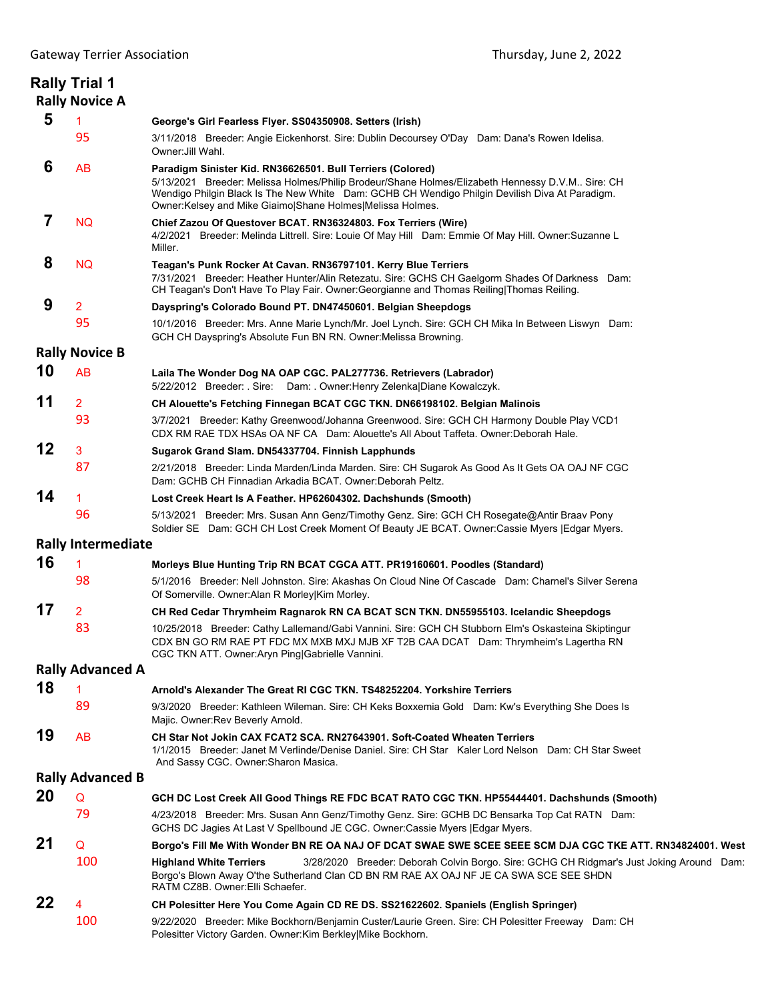|    | <b>Rally Trial 1</b><br><b>Rally Novice A</b> |                                                                                                                                                                                                                                                                                                                               |
|----|-----------------------------------------------|-------------------------------------------------------------------------------------------------------------------------------------------------------------------------------------------------------------------------------------------------------------------------------------------------------------------------------|
| 5  | 1                                             | George's Girl Fearless Flyer. SS04350908. Setters (Irish)                                                                                                                                                                                                                                                                     |
|    | 95                                            | 3/11/2018 Breeder: Angie Eickenhorst. Sire: Dublin Decoursey O'Day Dam: Dana's Rowen Idelisa.<br>Owner: Jill Wahl.                                                                                                                                                                                                            |
| 6  | <b>AB</b>                                     | Paradigm Sinister Kid. RN36626501. Bull Terriers (Colored)<br>5/13/2021 Breeder: Melissa Holmes/Philip Brodeur/Shane Holmes/Elizabeth Hennessy D.V.M Sire: CH<br>Wendigo Philgin Black Is The New White Dam: GCHB CH Wendigo Philgin Devilish Diva At Paradigm.<br>Owner: Kelsey and Mike Giaimo Shane Holmes Melissa Holmes. |
| 7  | <b>NQ</b>                                     | Chief Zazou Of Questover BCAT. RN36324803. Fox Terriers (Wire)<br>4/2/2021 Breeder: Melinda Littrell. Sire: Louie Of May Hill Dam: Emmie Of May Hill. Owner: Suzanne L<br>Miller.                                                                                                                                             |
| 8  | <b>NQ</b>                                     | Teagan's Punk Rocker At Cavan. RN36797101. Kerry Blue Terriers<br>7/31/2021 Breeder: Heather Hunter/Alin Retezatu. Sire: GCHS CH Gaelgorm Shades Of Darkness Dam:<br>CH Teagan's Don't Have To Play Fair. Owner: Georgianne and Thomas Reiling   Thomas Reiling.                                                              |
| 9  | 2                                             | Dayspring's Colorado Bound PT. DN47450601. Belgian Sheepdogs                                                                                                                                                                                                                                                                  |
|    | 95                                            | 10/1/2016 Breeder: Mrs. Anne Marie Lynch/Mr. Joel Lynch. Sire: GCH CH Mika In Between Liswyn Dam:<br>GCH CH Dayspring's Absolute Fun BN RN. Owner: Melissa Browning.                                                                                                                                                          |
|    | <b>Rally Novice B</b>                         |                                                                                                                                                                                                                                                                                                                               |
| 10 | AB                                            | Laila The Wonder Dog NA OAP CGC. PAL277736. Retrievers (Labrador)<br>5/22/2012 Breeder: . Sire: Dam: . Owner: Henry Zelenka Diane Kowalczyk.                                                                                                                                                                                  |
| 11 | 2                                             | CH Alouette's Fetching Finnegan BCAT CGC TKN. DN66198102. Belgian Malinois                                                                                                                                                                                                                                                    |
|    | 93                                            | 3/7/2021   Breeder: Kathy Greenwood/Johanna Greenwood. Sire: GCH CH Harmony Double Play VCD1<br>CDX RM RAE TDX HSAs OA NF CA Dam: Alouette's All About Taffeta. Owner:Deborah Hale.                                                                                                                                           |
| 12 | 3                                             | Sugarok Grand Slam. DN54337704. Finnish Lapphunds                                                                                                                                                                                                                                                                             |
|    | 87                                            | 2/21/2018 Breeder: Linda Marden/Linda Marden. Sire: CH Sugarok As Good As It Gets OA OAJ NF CGC<br>Dam: GCHB CH Finnadian Arkadia BCAT. Owner:Deborah Peltz.                                                                                                                                                                  |
| 14 | 1                                             | Lost Creek Heart Is A Feather. HP62604302. Dachshunds (Smooth)                                                                                                                                                                                                                                                                |
|    | 96                                            | 5/13/2021 Breeder: Mrs. Susan Ann Genz/Timothy Genz. Sire: GCH CH Rosegate@Antir Braav Pony<br>Soldier SE Dam: GCH CH Lost Creek Moment Of Beauty JE BCAT. Owner:Cassie Myers   Edgar Myers.                                                                                                                                  |
|    | <b>Rally Intermediate</b>                     |                                                                                                                                                                                                                                                                                                                               |
| 16 | 1                                             | Morleys Blue Hunting Trip RN BCAT CGCA ATT. PR19160601. Poodles (Standard)                                                                                                                                                                                                                                                    |
|    | 98                                            | 5/1/2016 Breeder: Nell Johnston. Sire: Akashas On Cloud Nine Of Cascade Dam: Charnel's Silver Serena<br>Of Somerville. Owner: Alan R Morley Kim Morley.                                                                                                                                                                       |
| 17 | 2                                             | CH Red Cedar Thrymheim Ragnarok RN CA BCAT SCN TKN. DN55955103. Icelandic Sheepdogs                                                                                                                                                                                                                                           |
|    | 83                                            | 10/25/2018 Breeder: Cathy Lallemand/Gabi Vannini. Sire: GCH CH Stubborn Elm's Oskasteina Skiptingur<br>CDX BN GO RM RAE PT FDC MX MXB MXJ MJB XF T2B CAA DCAT Dam: Thrymheim's Lagertha RN<br>CGC TKN ATT. Owner: Aryn Ping Gabrielle Vannini.                                                                                |
|    | <b>Rally Advanced A</b>                       |                                                                                                                                                                                                                                                                                                                               |
| 18 | 1                                             | Arnold's Alexander The Great RI CGC TKN. TS48252204. Yorkshire Terriers                                                                                                                                                                                                                                                       |
|    | 89                                            | 9/3/2020 Breeder: Kathleen Wileman. Sire: CH Keks Boxxemia Gold Dam: Kw's Everything She Does Is<br>Majic. Owner:Rev Beverly Arnold.                                                                                                                                                                                          |
| 19 | <b>AB</b>                                     | CH Star Not Jokin CAX FCAT2 SCA, RN27643901, Soft-Coated Wheaten Terriers<br>1/1/2015 Breeder: Janet M Verlinde/Denise Daniel, Sire: CH Star Kaler Lord Nelson Dam: CH Star Sweet<br>And Sassy CGC. Owner: Sharon Masica.                                                                                                     |
|    | <b>Rally Advanced B</b>                       |                                                                                                                                                                                                                                                                                                                               |
| 20 | $\mathsf Q$                                   | GCH DC Lost Creek All Good Things RE FDC BCAT RATO CGC TKN. HP55444401. Dachshunds (Smooth)                                                                                                                                                                                                                                   |
|    | 79                                            | 4/23/2018 Breeder: Mrs. Susan Ann Genz/Timothy Genz. Sire: GCHB DC Bensarka Top Cat RATN Dam:<br>GCHS DC Jagies At Last V Spellbound JE CGC. Owner:Cassie Myers   Edgar Myers.                                                                                                                                                |
| 21 | Q                                             | Borgo's Fill Me With Wonder BN RE OA NAJ OF DCAT SWAE SWE SCEE SEEE SCM DJA CGC TKE ATT. RN34824001. West                                                                                                                                                                                                                     |
|    | 100                                           | 3/28/2020 Breeder: Deborah Colvin Borgo. Sire: GCHG CH Ridgmar's Just Joking Around Dam:<br><b>Highland White Terriers</b><br>Borgo's Blown Away O'the Sutherland Clan CD BN RM RAE AX OAJ NF JE CA SWA SCE SEE SHDN<br>RATM CZ8B. Owner: Elli Schaefer.                                                                      |
| 22 | 4                                             | CH Polesitter Here You Come Again CD RE DS. SS21622602. Spaniels (English Springer)                                                                                                                                                                                                                                           |
|    | 100                                           | 9/22/2020 Breeder: Mike Bockhorn/Benjamin Custer/Laurie Green. Sire: CH Polesitter Freeway Dam: CH<br>Polesitter Victory Garden. Owner: Kim Berkley Mike Bockhorn.                                                                                                                                                            |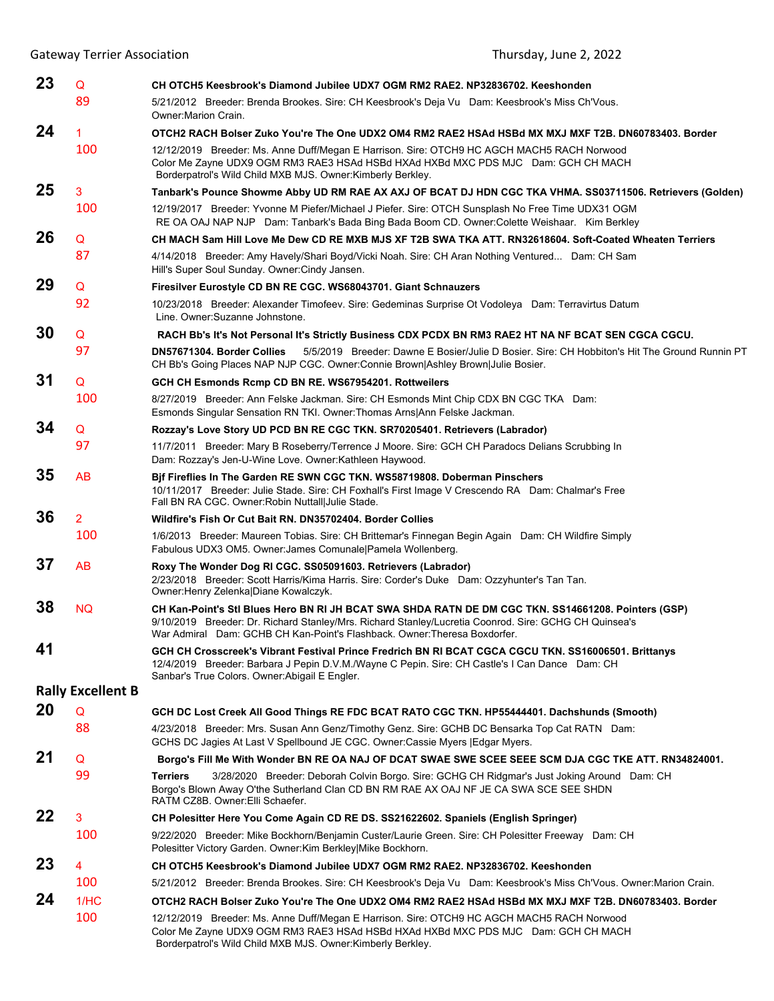Gateway Terrier Association **by Calculation** Cateway Thursday, June 2, 2022

| 23 | Q                        | CH OTCH5 Keesbrook's Diamond Jubilee UDX7 OGM RM2 RAE2, NP32836702, Keeshonden                                                                                                                                                                                                            |
|----|--------------------------|-------------------------------------------------------------------------------------------------------------------------------------------------------------------------------------------------------------------------------------------------------------------------------------------|
|    | 89                       | 5/21/2012 Breeder: Brenda Brookes. Sire: CH Keesbrook's Deja Vu Dam: Keesbrook's Miss Ch'Vous.<br>Owner: Marion Crain.                                                                                                                                                                    |
| 24 | 1.                       | OTCH2 RACH Bolser Zuko You're The One UDX2 OM4 RM2 RAE2 HSAd HSBd MX MXJ MXF T2B. DN60783403. Border                                                                                                                                                                                      |
|    | 100                      | 12/12/2019 Breeder: Ms. Anne Duff/Megan E Harrison. Sire: OTCH9 HC AGCH MACH5 RACH Norwood<br>Color Me Zayne UDX9 OGM RM3 RAE3 HSAd HSBd HXAd HXBd MXC PDS MJC Dam: GCH CH MACH<br>Borderpatrol's Wild Child MXB MJS. Owner:Kimberly Berkley.                                             |
| 25 | 3                        | Tanbark's Pounce Showme Abby UD RM RAE AX AXJ OF BCAT DJ HDN CGC TKA VHMA. SS03711506. Retrievers (Golden)                                                                                                                                                                                |
|    | 100                      | 12/19/2017 Breeder: Yvonne M Piefer/Michael J Piefer. Sire: OTCH Sunsplash No Free Time UDX31 OGM<br>RE OA OAJ NAP NJP Dam: Tanbark's Bada Bing Bada Boom CD. Owner: Colette Weishaar. Kim Berkley                                                                                        |
| 26 | Q                        | CH MACH Sam Hill Love Me Dew CD RE MXB MJS XF T2B SWA TKA ATT. RN32618604, Soft-Coated Wheaten Terriers                                                                                                                                                                                   |
|    | 87                       | 4/14/2018 Breeder: Amy Havely/Shari Boyd/Vicki Noah. Sire: CH Aran Nothing Ventured Dam: CH Sam<br>Hill's Super Soul Sunday. Owner: Cindy Jansen.                                                                                                                                         |
| 29 | Q                        | Firesilver Eurostyle CD BN RE CGC. WS68043701. Giant Schnauzers                                                                                                                                                                                                                           |
|    | 92                       | 10/23/2018 Breeder: Alexander Timofeev. Sire: Gedeminas Surprise Ot Vodoleya Dam: Terravirtus Datum<br>Line. Owner: Suzanne Johnstone.                                                                                                                                                    |
| 30 | Q                        | RACH Bb's It's Not Personal It's Strictly Business CDX PCDX BN RM3 RAE2 HT NA NF BCAT SEN CGCA CGCU.                                                                                                                                                                                      |
|    | 97                       | 5/5/2019 Breeder: Dawne E Bosier/Julie D Bosier. Sire: CH Hobbiton's Hit The Ground Runnin PT<br>DN57671304. Border Collies<br>CH Bb's Going Places NAP NJP CGC. Owner:Connie Brown Ashley Brown Julie Bosier.                                                                            |
| 31 | Q                        | GCH CH Esmonds Rcmp CD BN RE. WS67954201. Rottweilers                                                                                                                                                                                                                                     |
|    | 100                      | 8/27/2019 Breeder: Ann Felske Jackman. Sire: CH Esmonds Mint Chip CDX BN CGC TKA Dam:<br>Esmonds Singular Sensation RN TKI. Owner: Thomas Arns Ann Felske Jackman.                                                                                                                        |
| 34 | Q                        | Rozzay's Love Story UD PCD BN RE CGC TKN. SR70205401. Retrievers (Labrador)                                                                                                                                                                                                               |
|    | 97                       | 11/7/2011 Breeder: Mary B Roseberry/Terrence J Moore. Sire: GCH CH Paradocs Delians Scrubbing In<br>Dam: Rozzay's Jen-U-Wine Love. Owner: Kathleen Haywood.                                                                                                                               |
| 35 | AB                       | Bif Fireflies In The Garden RE SWN CGC TKN. WS58719808. Doberman Pinschers<br>10/11/2017 Breeder: Julie Stade. Sire: CH Foxhall's First Image V Crescendo RA Dam: Chalmar's Free<br>Fall BN RA CGC. Owner: Robin Nuttall Julie Stade.                                                     |
| 36 | $\overline{2}$           | Wildfire's Fish Or Cut Bait RN, DN35702404, Border Collies                                                                                                                                                                                                                                |
|    | 100                      | 1/6/2013 Breeder: Maureen Tobias. Sire: CH Brittemar's Finnegan Begin Again Dam: CH Wildfire Simply<br>Fabulous UDX3 OM5. Owner: James Comunale Pamela Wollenberg.                                                                                                                        |
| 37 | AB                       | Roxy The Wonder Dog RI CGC. SS05091603. Retrievers (Labrador)<br>2/23/2018 Breeder: Scott Harris/Kima Harris. Sire: Corder's Duke Dam: Ozzyhunter's Tan Tan.<br>Owner: Henry Zelenka Diane Kowalczyk.                                                                                     |
| 38 | <b>NQ</b>                | CH Kan-Point's Stl Blues Hero BN RI JH BCAT SWA SHDA RATN DE DM CGC TKN. SS14661208. Pointers (GSP)<br>9/10/2019 Breeder: Dr. Richard Stanley/Mrs. Richard Stanley/Lucretia Coonrod. Sire: GCHG CH Quinsea's<br>War Admiral Dam: GCHB CH Kan-Point's Flashback. Owner: Theresa Boxdorfer. |
| 41 |                          | GCH CH Crosscreek's Vibrant Festival Prince Fredrich BN RI BCAT CGCA CGCU TKN. SS16006501. Brittanys<br>12/4/2019 Breeder: Barbara J Pepin D.V.M./Wayne C Pepin. Sire: CH Castle's I Can Dance Dam: CH<br>Sanbar's True Colors. Owner: Abigail E Engler.                                  |
|    | <b>Rally Excellent B</b> |                                                                                                                                                                                                                                                                                           |
| 20 | Q                        | GCH DC Lost Creek All Good Things RE FDC BCAT RATO CGC TKN. HP55444401. Dachshunds (Smooth)                                                                                                                                                                                               |
|    | 88                       | 4/23/2018 Breeder: Mrs. Susan Ann Genz/Timothy Genz. Sire: GCHB DC Bensarka Top Cat RATN Dam:<br>GCHS DC Jagies At Last V Spellbound JE CGC. Owner:Cassie Myers   Edgar Myers.                                                                                                            |
| 21 | Q                        | Borgo's Fill Me With Wonder BN RE OA NAJ OF DCAT SWAE SWE SCEE SEEE SCM DJA CGC TKE ATT. RN34824001.                                                                                                                                                                                      |
|    | 99                       | 3/28/2020 Breeder: Deborah Colvin Borgo. Sire: GCHG CH Ridgmar's Just Joking Around Dam: CH<br><b>Terriers</b><br>Borgo's Blown Away O'the Sutherland Clan CD BN RM RAE AX OAJ NF JE CA SWA SCE SEE SHDN<br>RATM CZ8B. Owner: Elli Schaefer.                                              |
| 22 | 3                        | CH Polesitter Here You Come Again CD RE DS. SS21622602. Spaniels (English Springer)                                                                                                                                                                                                       |
|    | 100                      | 9/22/2020 Breeder: Mike Bockhorn/Benjamin Custer/Laurie Green. Sire: CH Polesitter Freeway Dam: CH<br>Polesitter Victory Garden. Owner: Kim Berkley Mike Bockhorn.                                                                                                                        |
| 23 | 4                        | CH OTCH5 Keesbrook's Diamond Jubilee UDX7 OGM RM2 RAE2, NP32836702, Keeshonden                                                                                                                                                                                                            |
|    | 100                      | 5/21/2012 Breeder: Brenda Brookes. Sire: CH Keesbrook's Deja Vu Dam: Keesbrook's Miss Ch'Vous. Owner: Marion Crain.                                                                                                                                                                       |
| 24 | 1/HC                     | OTCH2 RACH Bolser Zuko You're The One UDX2 OM4 RM2 RAE2 HSAd HSBd MX MXJ MXF T2B. DN60783403. Border                                                                                                                                                                                      |
|    | 100                      | 12/12/2019 Breeder: Ms. Anne Duff/Megan E Harrison. Sire: OTCH9 HC AGCH MACH5 RACH Norwood<br>Color Me Zayne UDX9 OGM RM3 RAE3 HSAd HSBd HXAd HXBd MXC PDS MJC Dam: GCH CH MACH<br>Borderpatrol's Wild Child MXB MJS. Owner: Kimberly Berkley.                                            |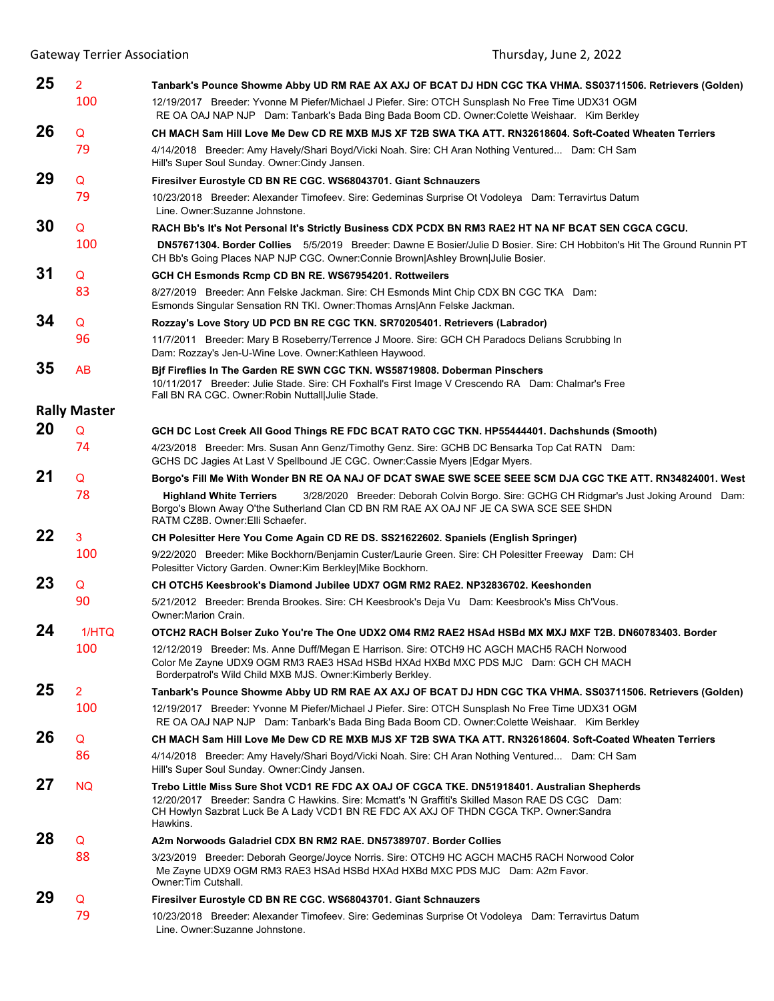Gateway Terrier Association **by Calculation** Cateway Thursday, June 2, 2022

| 25 | $\overline{2}$      | Tanbark's Pounce Showme Abby UD RM RAE AX AXJ OF BCAT DJ HDN CGC TKA VHMA. SS03711506. Retrievers (Golden)                                                                                                                                                                                            |
|----|---------------------|-------------------------------------------------------------------------------------------------------------------------------------------------------------------------------------------------------------------------------------------------------------------------------------------------------|
|    | 100                 | 12/19/2017 Breeder: Yvonne M Piefer/Michael J Piefer. Sire: OTCH Sunsplash No Free Time UDX31 OGM<br>RE OA OAJ NAP NJP Dam: Tanbark's Bada Bing Bada Boom CD. Owner: Colette Weishaar. Kim Berkley                                                                                                    |
| 26 | Q                   | CH MACH Sam Hill Love Me Dew CD RE MXB MJS XF T2B SWA TKA ATT. RN32618604. Soft-Coated Wheaten Terriers                                                                                                                                                                                               |
|    | 79                  | 4/14/2018 Breeder: Amy Havely/Shari Boyd/Vicki Noah. Sire: CH Aran Nothing Ventured Dam: CH Sam<br>Hill's Super Soul Sunday. Owner: Cindy Jansen.                                                                                                                                                     |
| 29 | Q                   | Firesilver Eurostyle CD BN RE CGC. WS68043701. Giant Schnauzers                                                                                                                                                                                                                                       |
|    | 79                  | 10/23/2018 Breeder: Alexander Timofeev. Sire: Gedeminas Surprise Ot Vodoleya Dam: Terravirtus Datum<br>Line. Owner: Suzanne Johnstone.                                                                                                                                                                |
| 30 | Q                   | RACH Bb's It's Not Personal It's Strictly Business CDX PCDX BN RM3 RAE2 HT NA NF BCAT SEN CGCA CGCU.                                                                                                                                                                                                  |
|    | 100                 | DN57671304. Border Collies 5/5/2019 Breeder: Dawne E Bosier/Julie D Bosier. Sire: CH Hobbiton's Hit The Ground Runnin PT<br>CH Bb's Going Places NAP NJP CGC. Owner:Connie Brown Ashley Brown Julie Bosier.                                                                                           |
| 31 | Q                   | GCH CH Esmonds Rcmp CD BN RE. WS67954201. Rottweilers                                                                                                                                                                                                                                                 |
|    | 83                  | 8/27/2019 Breeder: Ann Felske Jackman. Sire: CH Esmonds Mint Chip CDX BN CGC TKA Dam:<br>Esmonds Singular Sensation RN TKI. Owner: Thomas Arns Ann Felske Jackman.                                                                                                                                    |
| 34 | Q                   | Rozzay's Love Story UD PCD BN RE CGC TKN. SR70205401. Retrievers (Labrador)                                                                                                                                                                                                                           |
|    | 96                  | 11/7/2011 Breeder: Mary B Roseberry/Terrence J Moore. Sire: GCH CH Paradocs Delians Scrubbing In<br>Dam: Rozzay's Jen-U-Wine Love. Owner: Kathleen Haywood.                                                                                                                                           |
| 35 | <b>AB</b>           | Bif Fireflies In The Garden RE SWN CGC TKN. WS58719808. Doberman Pinschers<br>10/11/2017 Breeder: Julie Stade. Sire: CH Foxhall's First Image V Crescendo RA Dam: Chalmar's Free<br>Fall BN RA CGC. Owner: Robin Nuttall Julie Stade.                                                                 |
|    | <b>Rally Master</b> |                                                                                                                                                                                                                                                                                                       |
| 20 | $\mathsf Q$         | GCH DC Lost Creek All Good Things RE FDC BCAT RATO CGC TKN. HP55444401. Dachshunds (Smooth)                                                                                                                                                                                                           |
|    | 74                  | 4/23/2018 Breeder: Mrs. Susan Ann Genz/Timothy Genz. Sire: GCHB DC Bensarka Top Cat RATN Dam:<br>GCHS DC Jagies At Last V Spellbound JE CGC. Owner:Cassie Myers   Edgar Myers.                                                                                                                        |
| 21 | Q                   | Borgo's Fill Me With Wonder BN RE OA NAJ OF DCAT SWAE SWE SCEE SEEE SCM DJA CGC TKE ATT. RN34824001. West                                                                                                                                                                                             |
|    | 78                  | 3/28/2020 Breeder: Deborah Colvin Borgo. Sire: GCHG CH Ridgmar's Just Joking Around Dam:<br><b>Highland White Terriers</b><br>Borgo's Blown Away O'the Sutherland Clan CD BN RM RAE AX OAJ NF JE CA SWA SCE SEE SHDN<br>RATM CZ8B. Owner: Elli Schaefer.                                              |
| 22 | 3                   | CH Polesitter Here You Come Again CD RE DS. SS21622602. Spaniels (English Springer)                                                                                                                                                                                                                   |
|    | 100                 | 9/22/2020 Breeder: Mike Bockhorn/Benjamin Custer/Laurie Green. Sire: CH Polesitter Freeway Dam: CH<br>Polesitter Victory Garden. Owner: Kim Berkley Mike Bockhorn.                                                                                                                                    |
| 23 | Q                   | CH OTCH5 Keesbrook's Diamond Jubilee UDX7 OGM RM2 RAE2, NP32836702, Keeshonden                                                                                                                                                                                                                        |
|    | 90                  | 5/21/2012 Breeder: Brenda Brookes. Sire: CH Keesbrook's Deja Vu Dam: Keesbrook's Miss Ch'Vous.<br>Owner: Marion Crain.                                                                                                                                                                                |
| 24 | 1/HTQ               | OTCH2 RACH Bolser Zuko You're The One UDX2 OM4 RM2 RAE2 HSAd HSBd MX MXJ MXF T2B. DN60783403. Border                                                                                                                                                                                                  |
|    | 100                 | 12/12/2019 Breeder: Ms. Anne Duff/Megan E Harrison. Sire: OTCH9 HC AGCH MACH5 RACH Norwood<br>Color Me Zayne UDX9 OGM RM3 RAE3 HSAd HSBd HXAd HXBd MXC PDS MJC Dam: GCH CH MACH<br>Borderpatrol's Wild Child MXB MJS. Owner: Kimberly Berkley.                                                        |
| 25 | $\overline{2}$      | Tanbark's Pounce Showme Abby UD RM RAE AX AXJ OF BCAT DJ HDN CGC TKA VHMA. SS03711506. Retrievers (Golden)                                                                                                                                                                                            |
|    | 100                 | 12/19/2017 Breeder: Yvonne M Piefer/Michael J Piefer. Sire: OTCH Sunsplash No Free Time UDX31 OGM<br>RE OA OAJ NAP NJP Dam: Tanbark's Bada Bing Bada Boom CD. Owner: Colette Weishaar. Kim Berkley                                                                                                    |
| 26 | Q                   | CH MACH Sam Hill Love Me Dew CD RE MXB MJS XF T2B SWA TKA ATT. RN32618604. Soft-Coated Wheaten Terriers                                                                                                                                                                                               |
|    | 86                  | 4/14/2018 Breeder: Amy Havely/Shari Boyd/Vicki Noah. Sire: CH Aran Nothing Ventured Dam: CH Sam<br>Hill's Super Soul Sunday. Owner: Cindy Jansen.                                                                                                                                                     |
| 27 | <b>NQ</b>           | Trebo Little Miss Sure Shot VCD1 RE FDC AX OAJ OF CGCA TKE. DN51918401. Australian Shepherds<br>12/20/2017 Breeder: Sandra C Hawkins. Sire: Mcmatt's 'N Graffiti's Skilled Mason RAE DS CGC Dam:<br>CH Howlyn Sazbrat Luck Be A Lady VCD1 BN RE FDC AX AXJ OF THDN CGCA TKP. Owner:Sandra<br>Hawkins. |
| 28 | Q                   | A2m Norwoods Galadriel CDX BN RM2 RAE. DN57389707. Border Collies                                                                                                                                                                                                                                     |
|    | 88                  | 3/23/2019 Breeder: Deborah George/Joyce Norris. Sire: OTCH9 HC AGCH MACH5 RACH Norwood Color<br>Me Zayne UDX9 OGM RM3 RAE3 HSAd HSBd HXAd HXBd MXC PDS MJC Dam: A2m Favor.<br>Owner: Tim Cutshall.                                                                                                    |
| 29 | Q                   | Firesilver Eurostyle CD BN RE CGC. WS68043701. Giant Schnauzers                                                                                                                                                                                                                                       |
|    | 79                  | 10/23/2018 Breeder: Alexander Timofeev. Sire: Gedeminas Surprise Ot Vodoleya Dam: Terravirtus Datum<br>Line. Owner: Suzanne Johnstone.                                                                                                                                                                |